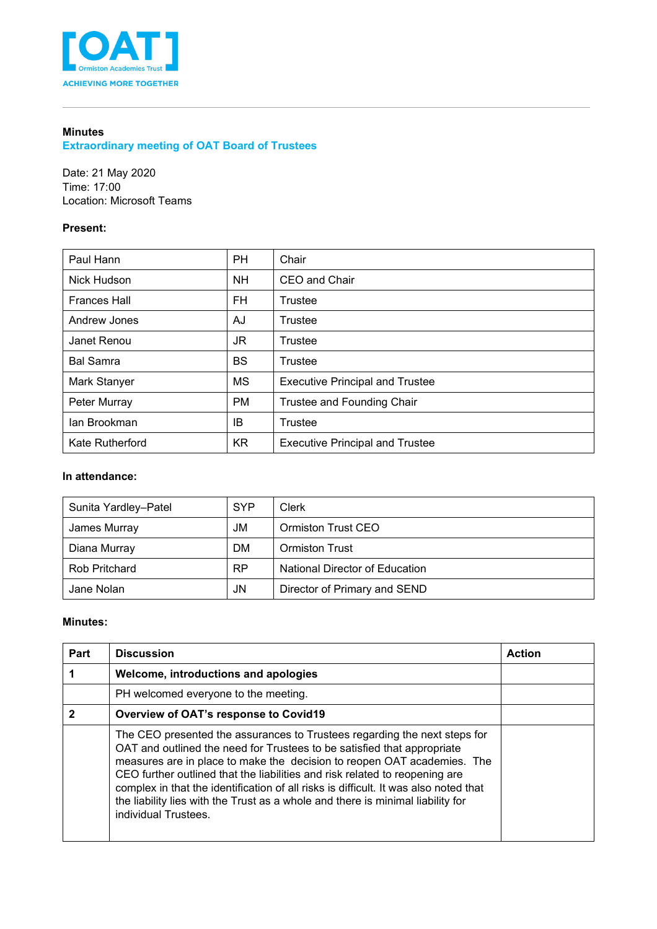

## **Minutes**

## **Extraordinary meeting of OAT Board of Trustees**

Date: 21 May 2020 Time: 17:00 Location: Microsoft Teams

# **Present:**

| Paul Hann           | <b>PH</b> | Chair                                  |
|---------------------|-----------|----------------------------------------|
| Nick Hudson         | <b>NH</b> | CEO and Chair                          |
| <b>Frances Hall</b> | FH        | Trustee                                |
| Andrew Jones        | AJ        | Trustee                                |
| Janet Renou         | JR.       | Trustee                                |
| <b>Bal Samra</b>    | <b>BS</b> | Trustee                                |
| Mark Stanyer        | <b>MS</b> | <b>Executive Principal and Trustee</b> |
| Peter Murray        | <b>PM</b> | Trustee and Founding Chair             |
| lan Brookman        | IB        | Trustee                                |
| Kate Rutherford     | KR        | <b>Executive Principal and Trustee</b> |

## **In attendance:**

| Sunita Yardley-Patel | <b>SYP</b> | Clerk                          |
|----------------------|------------|--------------------------------|
| James Murray         | JM         | Ormiston Trust CEO             |
| Diana Murray         | <b>DM</b>  | <b>Ormiston Trust</b>          |
| Rob Pritchard        | <b>RP</b>  | National Director of Education |
| Jane Nolan           | JN         | Director of Primary and SEND   |

#### **Minutes:**

| Part | <b>Discussion</b>                                                                                                                                                                                                                                                                                                                                                                                                                                                                                                 | <b>Action</b> |
|------|-------------------------------------------------------------------------------------------------------------------------------------------------------------------------------------------------------------------------------------------------------------------------------------------------------------------------------------------------------------------------------------------------------------------------------------------------------------------------------------------------------------------|---------------|
|      | Welcome, introductions and apologies                                                                                                                                                                                                                                                                                                                                                                                                                                                                              |               |
|      | PH welcomed everyone to the meeting.                                                                                                                                                                                                                                                                                                                                                                                                                                                                              |               |
|      | Overview of OAT's response to Covid19                                                                                                                                                                                                                                                                                                                                                                                                                                                                             |               |
|      | The CEO presented the assurances to Trustees regarding the next steps for<br>OAT and outlined the need for Trustees to be satisfied that appropriate<br>measures are in place to make the decision to reopen OAT academies. The<br>CEO further outlined that the liabilities and risk related to reopening are<br>complex in that the identification of all risks is difficult. It was also noted that<br>the liability lies with the Trust as a whole and there is minimal liability for<br>individual Trustees. |               |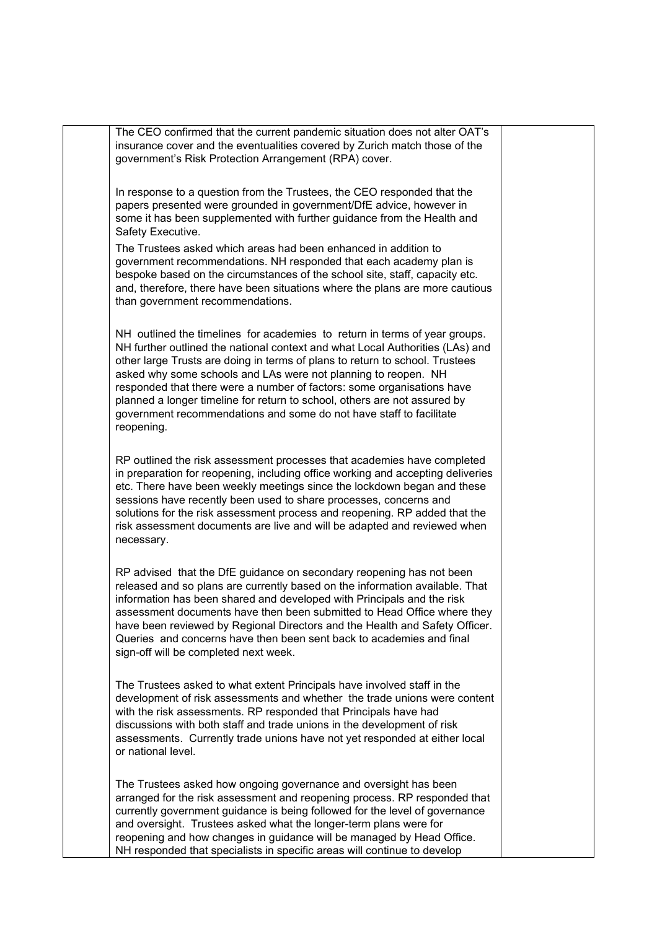The CEO confirmed that the current pandemic situation does not alter OAT's insurance cover and the eventualities covered by Zurich match those of the government's Risk Protection Arrangement (RPA) cover.

In response to a question from the Trustees, the CEO responded that the papers presented were grounded in government/DfE advice, however in some it has been supplemented with further guidance from the Health and Safety Executive.

The Trustees asked which areas had been enhanced in addition to government recommendations. NH responded that each academy plan is bespoke based on the circumstances of the school site, staff, capacity etc. and, therefore, there have been situations where the plans are more cautious than government recommendations.

NH outlined the timelines for academies to return in terms of year groups. NH further outlined the national context and what Local Authorities (LAs) and other large Trusts are doing in terms of plans to return to school. Trustees asked why some schools and LAs were not planning to reopen. NH responded that there were a number of factors: some organisations have planned a longer timeline for return to school, others are not assured by government recommendations and some do not have staff to facilitate reopening.

RP outlined the risk assessment processes that academies have completed in preparation for reopening, including office working and accepting deliveries etc. There have been weekly meetings since the lockdown began and these sessions have recently been used to share processes, concerns and solutions for the risk assessment process and reopening. RP added that the risk assessment documents are live and will be adapted and reviewed when necessary.

RP advised that the DfE guidance on secondary reopening has not been released and so plans are currently based on the information available. That information has been shared and developed with Principals and the risk assessment documents have then been submitted to Head Office where they have been reviewed by Regional Directors and the Health and Safety Officer. Queries and concerns have then been sent back to academies and final sign-off will be completed next week.

The Trustees asked to what extent Principals have involved staff in the development of risk assessments and whether the trade unions were content with the risk assessments. RP responded that Principals have had discussions with both staff and trade unions in the development of risk assessments. Currently trade unions have not yet responded at either local or national level.

The Trustees asked how ongoing governance and oversight has been arranged for the risk assessment and reopening process. RP responded that currently government guidance is being followed for the level of governance and oversight. Trustees asked what the longer-term plans were for reopening and how changes in guidance will be managed by Head Office. NH responded that specialists in specific areas will continue to develop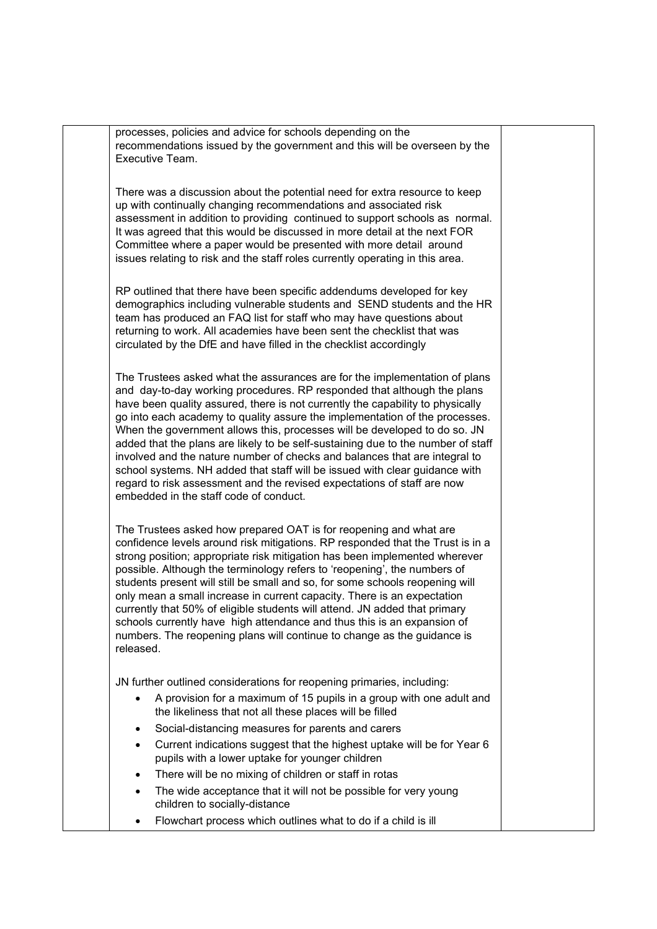processes, policies and advice for schools depending on the recommendations issued by the government and this will be overseen by the Executive Team.

There was a discussion about the potential need for extra resource to keep up with continually changing recommendations and associated risk assessment in addition to providing continued to support schools as normal. It was agreed that this would be discussed in more detail at the next FOR Committee where a paper would be presented with more detail around issues relating to risk and the staff roles currently operating in this area.

RP outlined that there have been specific addendums developed for key demographics including vulnerable students and SEND students and the HR team has produced an FAQ list for staff who may have questions about returning to work. All academies have been sent the checklist that was circulated by the DfE and have filled in the checklist accordingly

The Trustees asked what the assurances are for the implementation of plans and day-to-day working procedures. RP responded that although the plans have been quality assured, there is not currently the capability to physically go into each academy to quality assure the implementation of the processes. When the government allows this, processes will be developed to do so. JN added that the plans are likely to be self-sustaining due to the number of staff involved and the nature number of checks and balances that are integral to school systems. NH added that staff will be issued with clear guidance with regard to risk assessment and the revised expectations of staff are now embedded in the staff code of conduct.

The Trustees asked how prepared OAT is for reopening and what are confidence levels around risk mitigations. RP responded that the Trust is in a strong position; appropriate risk mitigation has been implemented wherever possible. Although the terminology refers to 'reopening', the numbers of students present will still be small and so, for some schools reopening will only mean a small increase in current capacity. There is an expectation currently that 50% of eligible students will attend. JN added that primary schools currently have high attendance and thus this is an expansion of numbers. The reopening plans will continue to change as the guidance is released.

JN further outlined considerations for reopening primaries, including:

- A provision for a maximum of 15 pupils in a group with one adult and the likeliness that not all these places will be filled
- Social-distancing measures for parents and carers
- Current indications suggest that the highest uptake will be for Year 6 pupils with a lower uptake for younger children
- There will be no mixing of children or staff in rotas
- The wide acceptance that it will not be possible for very young children to socially-distance
- Flowchart process which outlines what to do if a child is ill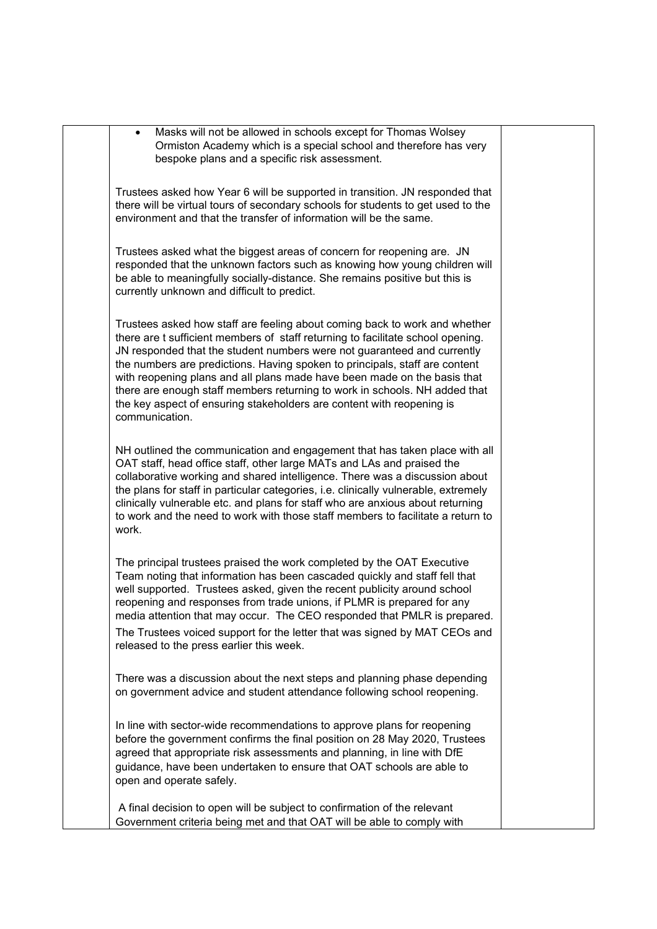| Masks will not be allowed in schools except for Thomas Wolsey<br>$\bullet$<br>Ormiston Academy which is a special school and therefore has very<br>bespoke plans and a specific risk assessment.                                                                                                                                                                                                                                                                                                                                                                             |  |
|------------------------------------------------------------------------------------------------------------------------------------------------------------------------------------------------------------------------------------------------------------------------------------------------------------------------------------------------------------------------------------------------------------------------------------------------------------------------------------------------------------------------------------------------------------------------------|--|
| Trustees asked how Year 6 will be supported in transition. JN responded that<br>there will be virtual tours of secondary schools for students to get used to the<br>environment and that the transfer of information will be the same.                                                                                                                                                                                                                                                                                                                                       |  |
| Trustees asked what the biggest areas of concern for reopening are. JN<br>responded that the unknown factors such as knowing how young children will<br>be able to meaningfully socially-distance. She remains positive but this is<br>currently unknown and difficult to predict.                                                                                                                                                                                                                                                                                           |  |
| Trustees asked how staff are feeling about coming back to work and whether<br>there are t sufficient members of staff returning to facilitate school opening.<br>JN responded that the student numbers were not guaranteed and currently<br>the numbers are predictions. Having spoken to principals, staff are content<br>with reopening plans and all plans made have been made on the basis that<br>there are enough staff members returning to work in schools. NH added that<br>the key aspect of ensuring stakeholders are content with reopening is<br>communication. |  |
| NH outlined the communication and engagement that has taken place with all<br>OAT staff, head office staff, other large MATs and LAs and praised the<br>collaborative working and shared intelligence. There was a discussion about<br>the plans for staff in particular categories, i.e. clinically vulnerable, extremely<br>clinically vulnerable etc. and plans for staff who are anxious about returning<br>to work and the need to work with those staff members to facilitate a return to<br>work.                                                                     |  |
| The principal trustees praised the work completed by the OAT Executive<br>Team noting that information has been cascaded quickly and staff fell that<br>well supported. Trustees asked, given the recent publicity around school<br>reopening and responses from trade unions, if PLMR is prepared for any<br>media attention that may occur. The CEO responded that PMLR is prepared.<br>The Trustees voiced support for the letter that was signed by MAT CEOs and<br>released to the press earlier this week.                                                             |  |
| There was a discussion about the next steps and planning phase depending<br>on government advice and student attendance following school reopening.                                                                                                                                                                                                                                                                                                                                                                                                                          |  |
| In line with sector-wide recommendations to approve plans for reopening<br>before the government confirms the final position on 28 May 2020, Trustees<br>agreed that appropriate risk assessments and planning, in line with DfE<br>guidance, have been undertaken to ensure that OAT schools are able to<br>open and operate safely.                                                                                                                                                                                                                                        |  |
| A final decision to open will be subject to confirmation of the relevant<br>Government criteria being met and that OAT will be able to comply with                                                                                                                                                                                                                                                                                                                                                                                                                           |  |